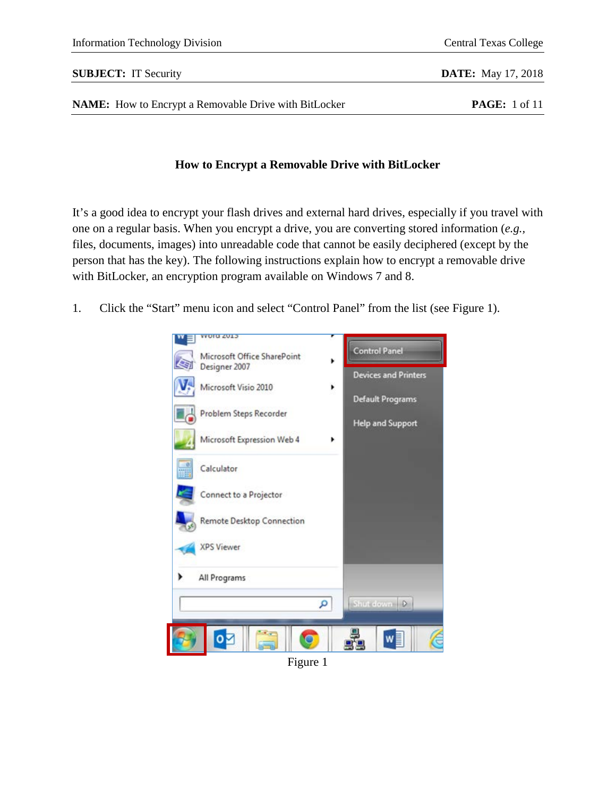## **SUBJECT:** IT Security **DATE:** May 17, 2018

**NAME:** How to Encrypt a Removable Drive with BitLocker **PAGE:** 1 of 11

## **How to Encrypt a Removable Drive with BitLocker**

It's a good idea to encrypt your flash drives and external hard drives, especially if you travel with one on a regular basis. When you encrypt a drive, you are converting stored information (*e.g.,* files, documents, images) into unreadable code that cannot be easily deciphered (except by the person that has the key). The following instructions explain how to encrypt a removable drive with BitLocker, an encryption program available on Windows 7 and 8.

1. Click the "Start" menu icon and select "Control Panel" from the list (see Figure 1).



Figure 1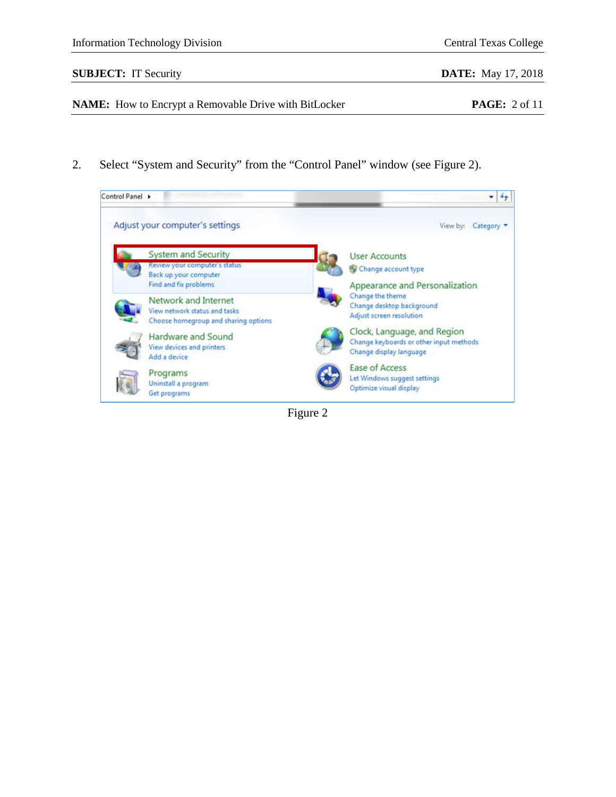2. Select "System and Security" from the "Control Panel" window (see Figure 2).



Figure 2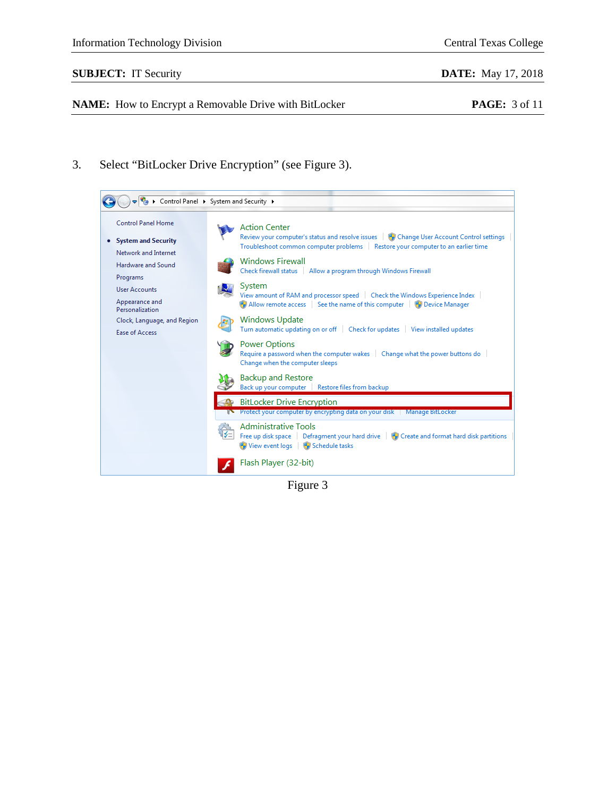## **SUBJECT:** IT Security **DATE:** May 17, 2018

**NAME:** How to Encrypt a Removable Drive with BitLocker **PAGE:** 3 of 11

3. Select "BitLocker Drive Encryption" (see Figure 3).



Figure 3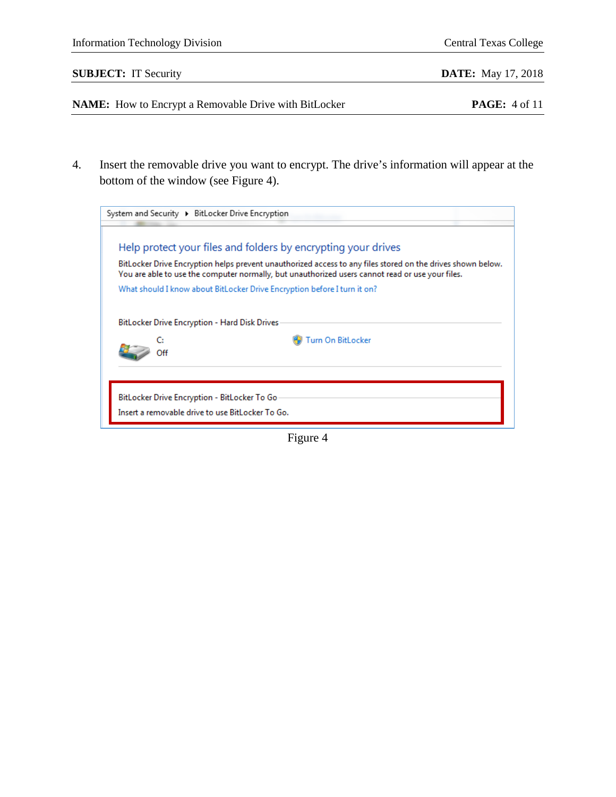|    | <b>Information Technology Division</b>                                                                                                                                                                          | <b>Central Texas College</b> |
|----|-----------------------------------------------------------------------------------------------------------------------------------------------------------------------------------------------------------------|------------------------------|
|    | <b>SUBJECT:</b> IT Security                                                                                                                                                                                     | <b>DATE:</b> May 17, 2018    |
|    | <b>NAME:</b> How to Encrypt a Removable Drive with BitLocker                                                                                                                                                    | <b>PAGE:</b> 4 of 11         |
|    |                                                                                                                                                                                                                 |                              |
| 4. | Insert the removable drive you want to encrypt. The drive's information will appear at the                                                                                                                      |                              |
|    | bottom of the window (see Figure 4).                                                                                                                                                                            |                              |
|    | System and Security > BitLocker Drive Encryption                                                                                                                                                                |                              |
|    | Help protect your files and folders by encrypting your drives                                                                                                                                                   |                              |
|    | BitLocker Drive Encryption helps prevent unauthorized access to any files stored on the drives shown below.<br>You are able to use the computer normally, but unauthorized users cannot read or use your files. |                              |
|    | What should I know about BitLocker Drive Encryption before I turn it on?                                                                                                                                        |                              |
|    | BitLocker Drive Encryption - Hard Disk Drives                                                                                                                                                                   |                              |
|    | Turn On BitLocker<br>C.                                                                                                                                                                                         |                              |

BitLocker Drive Encryption - BitLocker To Go-Insert a removable drive to use BitLocker To Go.

Off

Figure 4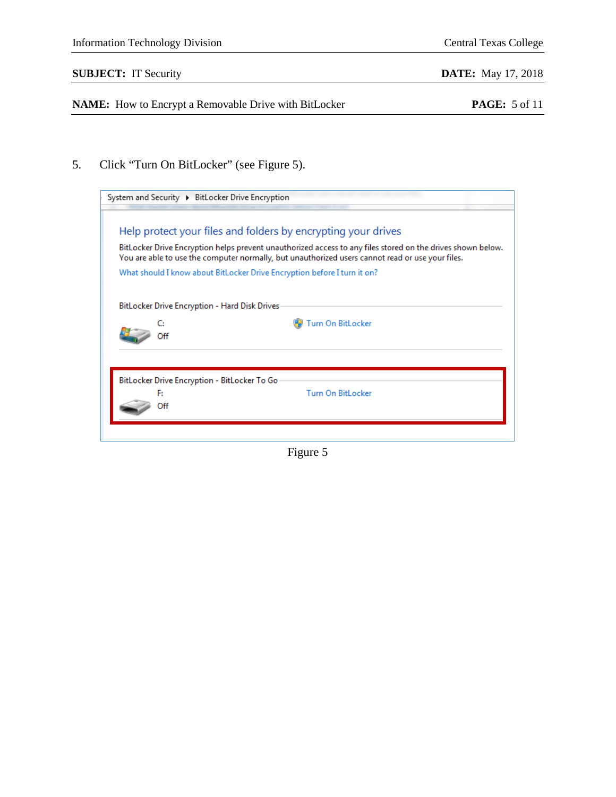## **SUBJECT:** IT Security **DATE:** May 17, 2018

**NAME:** How to Encrypt a Removable Drive with BitLocker **PAGE:** 5 of 11

5. Click "Turn On BitLocker" (see Figure 5).

| System and Security ▶ BitLocker Drive Encryption                                                                                                                                                                |  |  |
|-----------------------------------------------------------------------------------------------------------------------------------------------------------------------------------------------------------------|--|--|
|                                                                                                                                                                                                                 |  |  |
| Help protect your files and folders by encrypting your drives                                                                                                                                                   |  |  |
| BitLocker Drive Encryption helps prevent unauthorized access to any files stored on the drives shown below.<br>You are able to use the computer normally, but unauthorized users cannot read or use your files. |  |  |
| What should I know about BitLocker Drive Encryption before I turn it on?                                                                                                                                        |  |  |
| BitLocker Drive Encryption - Hard Disk Drives<br><b>Turn On BitLocker</b>                                                                                                                                       |  |  |
| BitLocker Drive Encryption - BitLocker To Go<br><b>Turn On BitLocker</b><br>F.<br>∩ff                                                                                                                           |  |  |
|                                                                                                                                                                                                                 |  |  |

Figure 5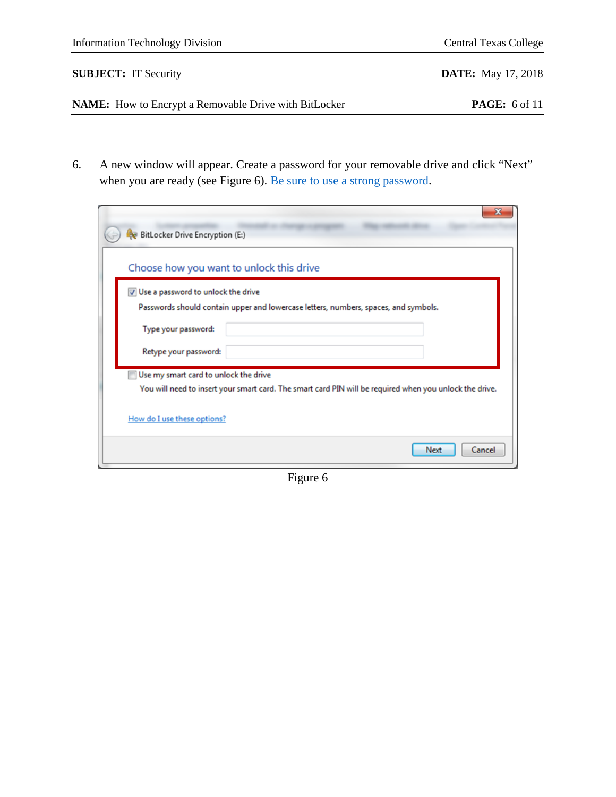| <b>Information Technology Division</b> | <b>Central Texas College</b> |
|----------------------------------------|------------------------------|
| <b>SUBJECT:</b> IT Security            | <b>DATE:</b> May 17, 2018    |
|                                        |                              |

**NAME:** How to Encrypt a Removable Drive with BitLocker **PAGE:** 6 of 11

6. A new window will appear. Create a password for your removable drive and click "Next" when you are ready (see Figure 6). <u>Be sure to use a strong password</u>.

| ×<br>BitLocker Drive Encryption (E:)                                                                                                             |
|--------------------------------------------------------------------------------------------------------------------------------------------------|
| Choose how you want to unlock this drive                                                                                                         |
| V Use a password to unlock the drive                                                                                                             |
| Passwords should contain upper and lowercase letters, numbers, spaces, and symbols.                                                              |
| Type your password:                                                                                                                              |
| Retype your password:                                                                                                                            |
| Use my smart card to unlock the drive<br>You will need to insert your smart card. The smart card PIN will be required when you unlock the drive. |
| How do I use these options?                                                                                                                      |
| Cancel<br>Next                                                                                                                                   |

Figure 6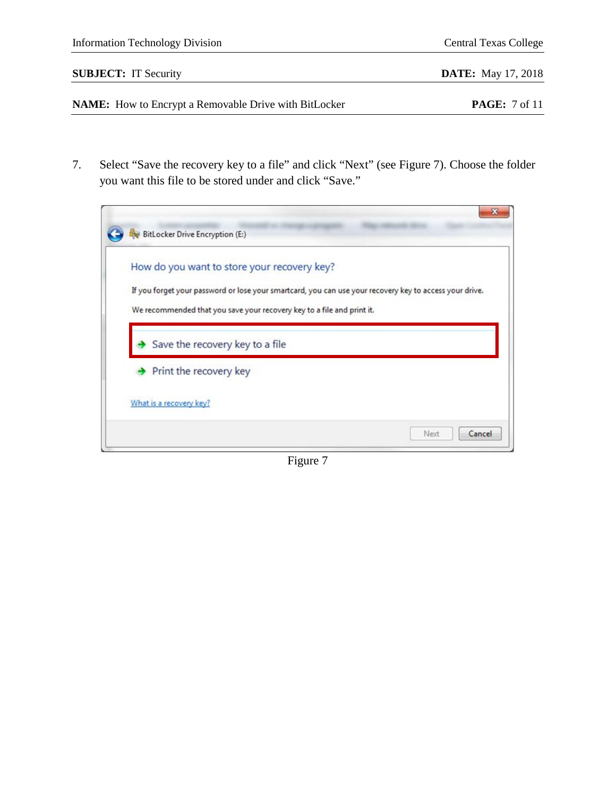| <b>Information Technology Division</b>                       | <b>Central Texas College</b> |
|--------------------------------------------------------------|------------------------------|
| <b>SUBJECT:</b> IT Security                                  | <b>DATE:</b> May 17, 2018    |
| <b>NAME:</b> How to Encrypt a Removable Drive with BitLocker | <b>PAGE:</b> 7 of 11         |

7. Select "Save the recovery key to a file" and click "Next" (see Figure 7). Choose the folder you want this file to be stored under and click "Save."

| How do you want to store your recovery key?                                                             |
|---------------------------------------------------------------------------------------------------------|
| If you forget your password or lose your smartcard, you can use your recovery key to access your drive. |
| We recommended that you save your recovery key to a file and print it.                                  |
| Save the recovery key to a file                                                                         |
| Print the recovery key                                                                                  |

Figure 7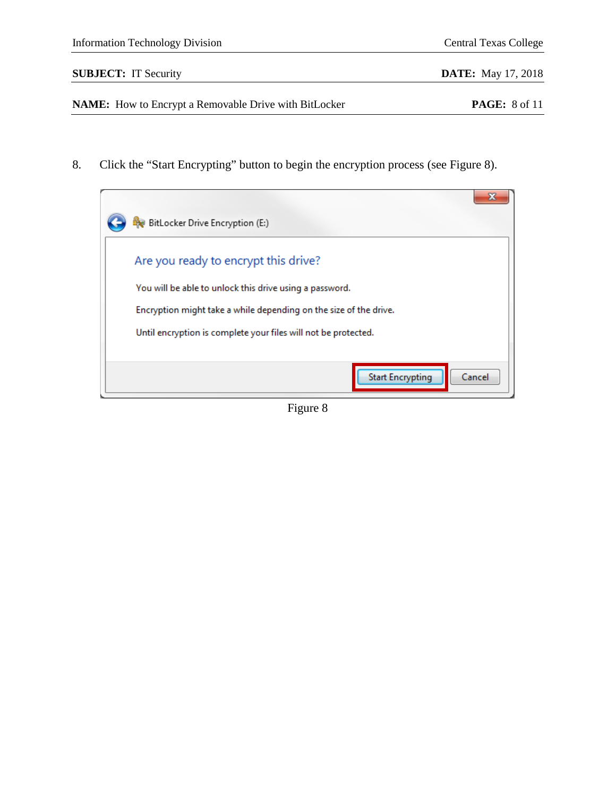8. Click the "Start Encrypting" button to begin the encryption process (see Figure 8).

| BitLocker Drive Encryption (E:)                                                                                                                                                                                                        |
|----------------------------------------------------------------------------------------------------------------------------------------------------------------------------------------------------------------------------------------|
| Are you ready to encrypt this drive?<br>You will be able to unlock this drive using a password.<br>Encryption might take a while depending on the size of the drive.<br>Until encryption is complete your files will not be protected. |
| <b>Start Encrypting</b><br>Cancel                                                                                                                                                                                                      |

Figure 8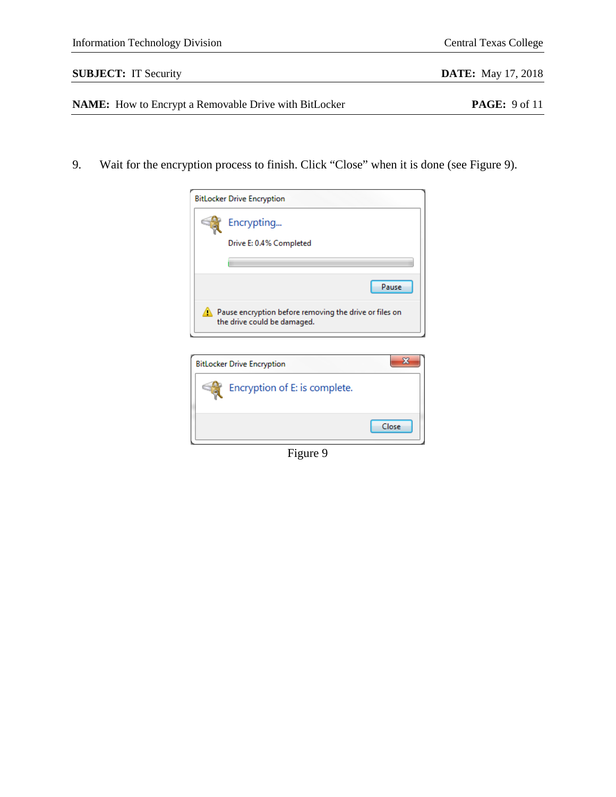9. Wait for the encryption process to finish. Click "Close" when it is done (see Figure 9).



| <b>BitLocker Drive Encryption</b> |       |
|-----------------------------------|-------|
| Encryption of E: is complete.     |       |
|                                   | Close |

Figure 9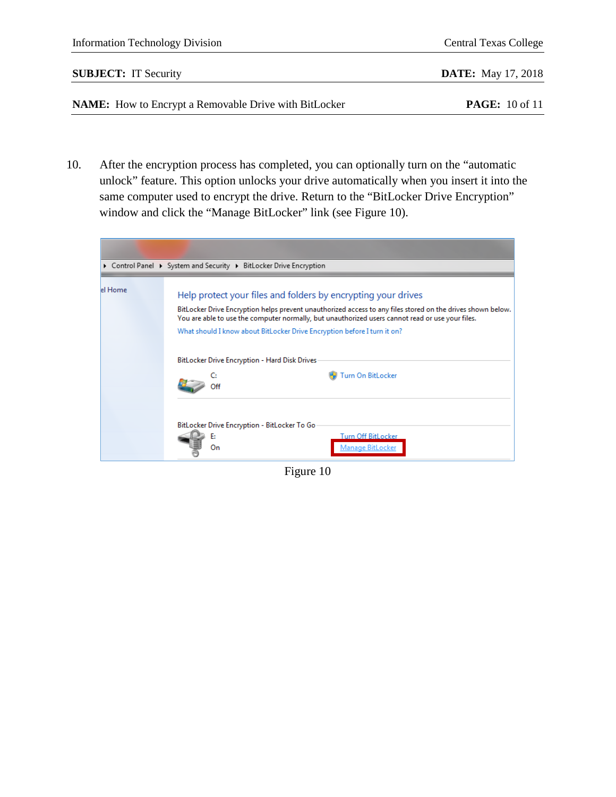| <b>NAME:</b> How to Encrypt a Removable Drive with BitLocker | <b>PAGE:</b> 10 of 11        |
|--------------------------------------------------------------|------------------------------|
| <b>SUBJECT:</b> IT Security                                  | <b>DATE:</b> May 17, 2018    |
| <b>Information Technology Division</b>                       | <b>Central Texas College</b> |

10. After the encryption process has completed, you can optionally turn on the "automatic unlock" feature. This option unlocks your drive automatically when you insert it into the same computer used to encrypt the drive. Return to the "BitLocker Drive Encryption" window and click the "Manage BitLocker" link (see Figure 10).

|         | ▶ Control Panel ▶ System and Security ▶ BitLocker Drive Encryption                                                                                                                                                                                                                                                                                           |                                               |  |
|---------|--------------------------------------------------------------------------------------------------------------------------------------------------------------------------------------------------------------------------------------------------------------------------------------------------------------------------------------------------------------|-----------------------------------------------|--|
| el Home | Help protect your files and folders by encrypting your drives<br>BitLocker Drive Encryption helps prevent unauthorized access to any files stored on the drives shown below.<br>You are able to use the computer normally, but unauthorized users cannot read or use your files.<br>What should I know about BitLocker Drive Encryption before I turn it on? |                                               |  |
|         | BitLocker Drive Encryption - Hard Disk Drives                                                                                                                                                                                                                                                                                                                | <b>Turn On BitLocker</b>                      |  |
|         | BitLocker Drive Encryption - BitLocker To Go<br>E.<br>On                                                                                                                                                                                                                                                                                                     | <b>Turn Off BitLocker</b><br>Manage BitLocker |  |

Figure 10